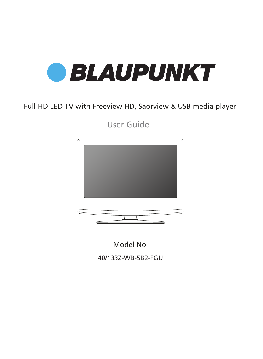

## Full HD LED TV with Freeview HD, Saorview & USB media player

User Guide



Model No

40/133Z-WB-5B2-FGU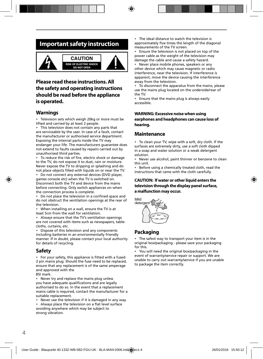## **Important safety instruction**



### **Please read these instructions. All the safety and operating instructions should be read before the appliance is operated.**

### **Warnings**

• Television sets which weigh 20kg or more must be lifted and carried by at least 2 people.

• This television does not contain any parts that are serviceable by the user. In case of a fault, contact the manufacturer or authorised service department. Exposing the internal parts inside the TV may endanger your life. The manufacturers guarantee does not extend to faults caused by repairs carried out by unauthorised third parties.

To reduce the risk of fire, electric shock or damage to the TV, do not expose it to dust, rain or moisture. Never expose the TV to dripping or splashing and do not place objects filled with liquids on or near the TV.

• Do not connect any external devices (DVD player, games console etc) when the TV is switched on. Disconnect both the TV and device from the mains before connecting. Only switch appliances on when the connection process is complete.

Do not place the television in a confined space and do not obstruct the ventilation openings at the rear of the television.

• When installing on a wall, ensure the TV is at least 5cm from the wall for ventilation.

• Always ensure that the TV's ventilation openings are not covered with items such as newspapers, tablecloths, curtains, etc.

• Dispose of this television and any components including batteries in an environmentally friendly manner. If in doubt, please contact your local authority for details of recycling.

### **Safety**

• For your safety, this appliance is fitted with a fused 3 pin mains plug. Should the fuse need to be replaced, ensure that any replacement is of the same amperage and approved with the

BSI mark.

• Never try and replace the mains plug unless you have adequate qualifications and are legally authorised to do so. In the event that a replacement mains cable is required, contact the manufacturer for a suitable replacement.

• Never use the television if it is damaged in any way.

• Always place the television on a flat level surface avoiding anywhere which may be subject to strong vibration.

• The ideal distance to watch the television is approximately five times the length of the diagonal measurements of the TV screen.

Ensure the television is not placed on top of the power cable as the weight of the television may damage the cable and cause a safety hazard.

Never place mobile phones, speakers or any other device which may cause magnetic or radio interference, near the television. If interference is apparent, move the device causing the interference away from the television.

• To disconnect the apparatus from the mains, please use the mains plug located on the underside/rear of the TV.

• Ensure that the mains plug is always easily accessible.

#### **WARNING: Excessive noise when using earphones and headphones can cause loss of hearing.**

### **Maintenance**

• To clean your TV, wipe with a soft, dry cloth. If the surfaces are extremely dirty, use a soft cloth dipped in a soap and water solution or a weak detergent solution.

• Never use alcohol, paint thinner or benzene to clean this unit.

• Before using a chemically treated cloth, read the instructions that came with the cloth carefully.

#### **CAUTION: If water or other liquid enters the television through the display panel surface, a malfunction may occur.**



### **Packaging**

The safest way to transport your item is in the original box/packaging - please save your packaging for this.

You will need the original box/packaging in the event of warranty/service repair or support. We are unable to carry out warranty/service if you are unable to package the item correctly.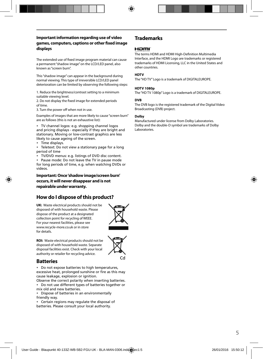#### **Important information regarding use of video games, computers, captions or other fi xed image displays**

The extended use of fixed image program material can cause a permanent "shadow image" on the LCD/LED panel, also known as "screen burn".

This "shadow image" can appear in the background during normal viewing. This type of irreversible LCD/LED panel deterioration can be limited by observing the following steps:

1. Reduce the brightness/contrast setting to a minimum suitable viewing level.

2. Do not display the fixed image for extended periods of time.

3. Turn the power off when not in use.

Examples of images that are more likely to cause "screen burn" are as follows (this is not an exhaustive list):

• TV channel logos: e.g. shopping channel logos and pricing displays - especially if they are bright and stationary. Moving or low-contrast graphics are less likely to cause ageing of the screen.

• Time displays.

• Teletext: Do not view a stationary page for a long period of time

• TV/DVD menus: e.g. listings of DVD disc content.

• Pause mode: Do not leave the TV in pause mode for long periods of time, e.g. when watching DVDs or videos.

**Important: Once 'shadow image/screen burn' occurs, it will never disappear and is not repairable under warranty.**

### **How do I dispose of this product?**

**UK:** Waste electrical products should not be disposed of with household waste. Please dispose of the product at a designated collection point for recycling of WEEE. For your nearest facilities, please see www.recycle-more.co.uk or in store for details.



Cd

**ROI:** Waste electrical products should not be disposed of with household waste. Separate disposal facilities exist. Check with your local authority or retailer for recycling advice.

#### **Batteries**

• Do not expose batteries to high temperatures, excessive heat, prolonged sunshine or fire as this may cause leakage, explosion or ignition.

Observe the correct polarity when inserting batteries. • Do not use different types of batteries together or mix old and new batteries.

• Dispose of batteries in an environmentally friendly way.

• Certain regions may regulate the disposal of batteries. Please consult your local authority.

### **Trademarks**

#### HOMI

The terms HDMI and HDMI High-Definition Multimedia Interface, and the HDMI Logo are trademarks or registered trademarks of HDMI Licensing, LLC in the United States and other countries.

#### **HDTV**

The "HD TV" Logo is a trademark of DIGITALEUROPE.

#### **HDTV 1080p**

The "HD TV 1080p" Logo is a trademark of DIGITALEUROPE.

#### **DVB**

The DVB logo is the registered trademark of the Digital Video Broadcasting (DVB) project.

#### **Dolby**

Manufactured under license from Dolby Laboratories. Dolby and the double-D symbol are trademarks of Dolby Laboratories.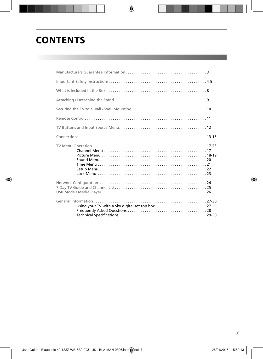# **CONTENTS**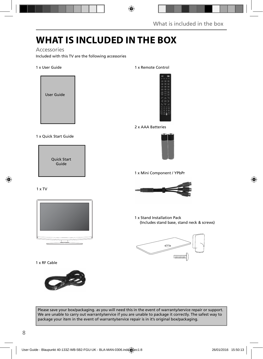## **WHAT IS INCLUDED IN THE BOX**

### Accessories

Included with this TV are the following accessories

#### 1 x User Guide



#### 1 x Quick Start Guide

Quick Start Guide

#### 1 x TV



#### 1 x RF Cable



#### 1 x Remote Control



#### 2 x AAA Batteries



1 x Mini Component / YPbPr



1 x Stand Installation Pack (Includes stand base, stand neck & screws)



Please save your box/packaging. as you will need this in the event of warranty/service repair or support. We are unable to carry out warranty/service if you are unable to package it correctly. The safest way to package your item in the event of warranty/service repair is in it's original box/packaging.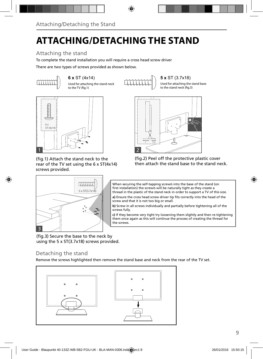# **ATTACHING/DETACHING THE STAND**

## Attaching the stand

To complete the stand installation you will require a cross head screw driver

There are two types of screws provided as shown below.



 $6 \times$  ST (4x14) **5**  $\times$  ST (3.7x18) Used for attaching the stand neck to the TV (fig.1)

Used for attaching the stand base to the stand neck (fig.3)



(fig.1) Attach the stand neck to the rear of the TV set using the 6 x ST(4x14) screws provided.







When securing the self-tapping screw/s into the base of the stand (on first installation) the screw/s will be naturally tight as they create a thread in the plastic of the stand neck in order to support a TV of this size.

a) Ensure the cross head screw driver tip fits correctly into the head of the screw and that it is not too big or small.

**b)** Screw in all screws individually and partially before tightening all of the screws fully.

**c)** If they become very tight try loosening them slightly and then re-tightening them once again as this will continue the process of creating the thread for the screws.

(fig.3) Secure the base to the neck by using the 5 x ST(3.7x18) screws provided.

### Detaching the stand

3

Remove the screws highlighted then remove the stand base and neck from the rear of the TV set.

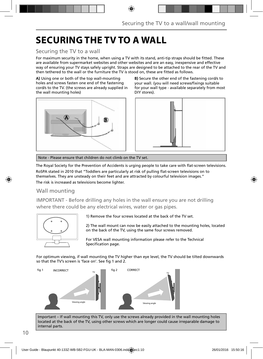## **SECURING THE TV TO A WALL**

### Securing the TV to a wall

For maximum security in the home, when using a TV with its stand, anti-tip straps should be fitted. These are available from supermarket websites and other websites and are an easy, inexpensive and effective way of ensuring your TV stays safely upright. Straps are designed to be attached to the rear of the TV and then tethered to the wall or the furniture the TV is stood on, these are fitted as follows.

**A)** Using one or both of the top wall-mounting holes and screws fasten one end of the fastening cord/s to the TV. (the screws are already supplied in the wall mounting holes)



**B)** Secure the other end of the fastening cord/s to your wall. (you will need screws/fixings suitable for your wall type - available separately from most DIY stores).



Note - Please ensure that children do not climb on the TV set.

The Royal Society for the Prevention of Accidents is urging people to take care with flat-screen televisions.

RoSPA stated in 2010 that "Toddlers are particularly at risk of pulling flat-screen televisions on to themselves. They are unsteady on their feet and are attracted by colourful television images."

The risk is increased as televisions become lighter.

### Wall mounting

IMPORTANT - Before drilling any holes in the wall ensure you are not drilling where there could be any electrical wires, water or gas pipes.



1) Remove the four screws located at the back of the TV set.

2) The wall mount can now be easily attached to the mounting holes, located on the back of the TV, using the same four screws removed.

For VESA wall mounting information please refer to the Technical Specification page.

For optimum viewing, if wall mounting the TV higher than eye level, the TV should be tilted downwards so that the TV's screen is 'face on'. See fig 1 and 2.



Important – If wall mounting this TV, only use the screws already provided in the wall mounting holes located at the back of the TV, using other screws which are longer could cause irreparable damage to internal parts.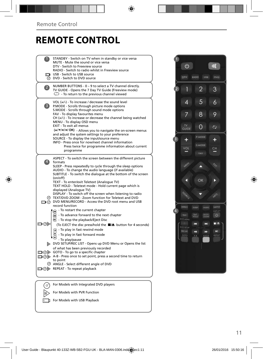## **REMOTE CONTROL**

|                         | STANDBY - Switch on TV when in standby or vice versa<br>MUTE - Mute the sound or vice versa<br>DTV - Switch to Freeview source<br>RADIO - Switch to radio whilst in Freeview source<br>USB - Switch to USB source<br>O DVD - Switch to DVD source                                                                                                                                                                                                                                                                                                                                                                                        |  |
|-------------------------|------------------------------------------------------------------------------------------------------------------------------------------------------------------------------------------------------------------------------------------------------------------------------------------------------------------------------------------------------------------------------------------------------------------------------------------------------------------------------------------------------------------------------------------------------------------------------------------------------------------------------------------|--|
| $\overline{\mathbf{2}}$ | NUMBER BUTTONS - 0 - 9 to select a TV channel directly.<br>TV GUIDE - Opens the 7 Day TV Guide (Freeview mode)<br>$\mathbb{C}$ - To return to the previous channel viewed                                                                                                                                                                                                                                                                                                                                                                                                                                                                |  |
| 3)                      | VOL $(+/-)$ - To increase / decrease the sound level<br>P.MODE - Scrolls through picture mode options<br>S.MODE - Scrolls through sound mode options<br>FAV - To display favourites menu<br>$CH (+/-)$ - To increase or decrease the channel being watched<br>MENU - To display OSD menu<br>EXIT - To exit all menus<br>(A/V/4/M/OK) - Allows you to navigate the on-screen menus<br>and adjust the system settings to your preference<br>SOURCE - To display the input/source menu<br>INFO - Press once for now/next channel information<br>Press twice for programme information about current<br>programme                            |  |
| $\vert 4 \rangle$       | ASPECT - To switch the screen between the different picture<br>formats<br>SLEEP - Press repeatedly to cycle through the sleep options<br>AUDIO - To change the audio language (if available)<br>SUBTITLE - To switch the dialogue at the bottom of the screen<br>(on/off)<br>TEXT - To enter/exit Teletext (Analogue TV)<br>TEXT HOLD - Teletext mode - Hold current page which is<br>displayed (Analogue TV)<br>DISPLAY - To switch off the screen when listening to radio<br>TEXT/DVD ZOOM - Zoom function for Teletext and DVD<br>DIO DVD MENU/RECORD - Access the DVD root menu and USB<br>record function                           |  |
| ▭⊙▷                     | - To restart the current chapter<br>$\widetilde{\mathbf{w}}$ - To advance forward to the next chapter<br><b>B</b> - To stop the playback/Eject Disc<br>(To EJECT the disc press/hold the ■▲ button for 4 seconds)<br>$\left( \widehat{)}$ - To play in fast rewind mode<br>- To play in fast forward mode<br>- To play/pause<br>DVD SETUP/REC LIST - Opens up DVD Menu or Opens the list<br>of what has been previously recorded<br>□ ⊙ > GOTO - To go to a specific chapter<br>A-B - Press once to set point, press a second time to return<br>to point<br>© ANGLE - Select different angle of DVD<br>□ ⊙ D REPEAT - To repeat playback |  |
|                         | For Models with Integrated DVD players                                                                                                                                                                                                                                                                                                                                                                                                                                                                                                                                                                                                   |  |
|                         | For Models with PVR Function                                                                                                                                                                                                                                                                                                                                                                                                                                                                                                                                                                                                             |  |

 $F_{\Box}$  For Models with USB Playback

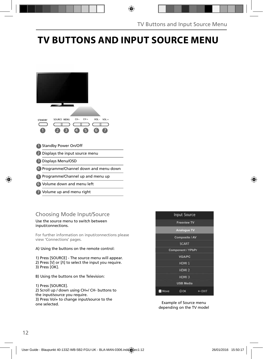## **TV BUTTONS AND INPUT SOURCE MENU**

| $CH +$<br>CH-<br>VOL-<br>SOURCE MENU<br>$VOL +$<br><b>STANDBY</b><br>4<br>6 |
|-----------------------------------------------------------------------------|
| Standby Power On/Off                                                        |
| Displays the input source menu                                              |
| Displays Menu/OSD                                                           |
| Programme/Channel down and menu down                                        |
| Programme/Channel up and menu up                                            |
|                                                                             |

- Volume down and menu left 6
- Volume up and menu right 7

## Choosing Mode Input/Source

#### Use the source menu to switch between input/connections.

For further information on input/connections please view 'Connections' pages.

#### A) Using the buttons on the remote control:

1) Press [SOURCE] - The source menu will appear. 2) Press  $[V]$  or  $[$   $\wedge$   $]$  to select the input you require. 3) Press [OK].

B) Using the buttons on the Television:

1) Press [SOURCE]. 2) Scroll up / down using CH+/ CH- buttons to the input/source you require. 3) Press Vol+ to change input/source to the one selected.



Example of Source menu depending on the TV model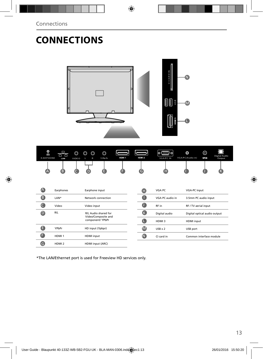# **CONNECTIONS**

|                             |                                                |                                                                             |                  | <b>CICARD IN</b><br>US <sub>B</sub> | $\blacksquare$                                                       |
|-----------------------------|------------------------------------------------|-----------------------------------------------------------------------------|------------------|-------------------------------------|----------------------------------------------------------------------|
| <u>ှ</u><br><b>EARPHONE</b> | Ο<br>$\circledcirc$<br>œ<br>VIDE O<br>LAN<br>в | $\circledcirc$<br>O<br>O<br>HDM 1<br>Y Pb Pr<br>$\mathsf{L}$<br>$\mathsf R$ | HDM 2<br>G       | $\circ$ (iiii) $\circ$<br>VGA/PC IN | $\odot$<br>O<br>Digital Audio<br>Output<br>VGA/PC(Audio in)<br>RF IN |
| A                           | Earphones                                      | Earphone input                                                              | ⊕                | VGA PC                              | VGA-PC Input                                                         |
| 8                           | LAN*                                           | Network connection                                                          | 0                | VGA PC audio in                     | 3.5mm PC audio input                                                 |
| G                           | Video                                          | Video input                                                                 | $\bullet$        | RF in                               | RF / TV aerial input                                                 |
| $\boldsymbol{\Theta}$       | R/L                                            | R/L Audio shared for<br>Video/Composite and                                 | $\bullet$        | Digital audio                       | Digital optical audio output                                         |
|                             |                                                | component/ YPbPr                                                            | $\mathbf 0$      | HDMI3                               | HDMI input                                                           |
| $\bullet$                   | YPbPr                                          | HD input (Ypbpr)                                                            | $\bf \bm \omega$ | $USB \times 2$                      | USB port                                                             |
| G                           | HDMI <sub>1</sub>                              | HDMI input                                                                  | $\bigcirc$       | CI card in                          | Common interface module                                              |
| $\mathbf \Theta$            | HDMI <sub>2</sub>                              | HDMI input (ARC)                                                            |                  |                                     |                                                                      |

\*The LAN/Ethernet port is used for Freeview HD services only.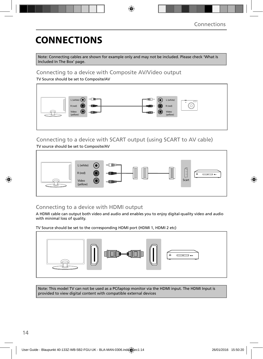# **CONNECTIONS**

Note: Connecting cables are shown for example only and may not be included. Please check 'What Is Included In The Box' page.

### Connecting to a device with Composite AV/Video output

TV Source should be set to Composite/AV



### Connecting to a device with SCART output (using SCART to AV cable) TV source should be set to Composite/AV



## Connecting to a device with HDMI output

A HDMI cable can output both video and audio and enables you to enjoy digital-quality video and audio with minimal loss of quality.

TV Source should be set to the corresponding HDMI port (HDMI 1, HDMI 2 etc)



Note: This model TV can not be used as a PC/laptop monitor via the HDMI input. The HDMI Input is provided to view digital content with compatible external devices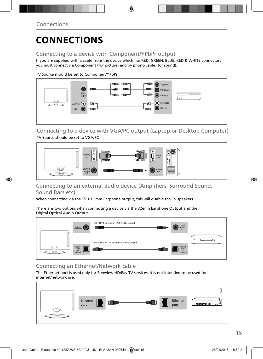## **CONNECTIONS**

### Connecting to a device with Component/YPbPr output

If you are supplied with a cable from the device which has RED, GREEN, BLUE, RED & WHITE connectors you must connect via Component (for picture) and by phono cable (for sound).

TV Source should be set to Component/YPbPr



Connecting to a device with VGA/PC output (Laptop or Desktop Computer) TV Source should be set to VGA/PC



### Connecting to an external audio device (Amplifiers, Surround Sound, Sound Bars etc)

When connecting via the TV's 3.5mm Earphone output, this will disable the TV speakers.

There are two options when connecting a device via the 3.5mm Earphone Output and the Digital Optical Audio Output



### Connecting an Ethernet/Network cable

The Ethernet port is used only for Freeview HD/Pay TV services. It is not intended to be used for internet/network use.

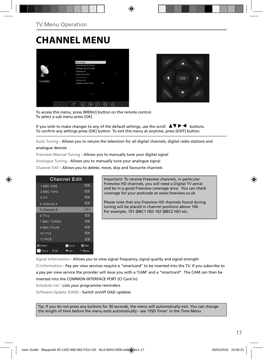## **CHANNEL MENU**





To access this menu, press [MENU] button on the remote control. To select a sub menu press [OK]

If you wish to make changes to any of the default settings, use the scroll  $\Delta \nabla \blacktriangleright$   $\blacktriangleleft$  buttons. To confirm any settings press [OK] button. To exit this menu at anytime, press [EXIT] button.

Auto Tuning - Allows you to retune the television for all digital channels, digital radio stations and

#### analogue devices

Freeview Manual Tuning - Allows you to manually tune your digital signal

Analogue Tuning - Allows you to manually tune your analogue signal

Channel Edit - Allows you to delete, move, skip and favourite channels

|                    | <b>Channel Edit</b>        |
|--------------------|----------------------------|
| 1 BBC ONE          | <b>LIBRARY</b>             |
| 2 BBC TWO          |                            |
| 3 ITV              | <b>DTET</b>                |
| 4 Channel 4        | <b>LOTAL</b>               |
| 5 Channel 5        | $5000 - 1$                 |
| 6 ITV2             | 10000                      |
| <b>7 BBC THREE</b> | <b>LOTH:</b>               |
| 9 BBC FOUR         | <b>DV</b>                  |
| 10 ITV3            | <b>COTWIL</b>              |
| 11 PICK            | <b>LOTAL</b>               |
| <b>Delete</b>      | <b>Move</b><br><b>Skip</b> |
| Move<br>$\odot$ OK | Menu<br>Fay                |

Important: To receive Freeview channels, in particular Freeview HD channels, you will need a Digital TV aerial and be in a good Freeview coverage area. You can check coverage for your postcode at www.freeview.co.uk

Please note that any Freeview HD channels found during tuning will be placed in channel positions above 100. For example, 101 (BBC1 HD) 102 (BBC2 HD) etc.

Signal Information - Allows you to view signal frequency, signal quality and signal strength CI Information - Pay per view services require a "smartcard" to be inserted into the TV. If you subscribe to a pay per view service the provider will issue you with a 'CAM' and a "smartcard". The CAM can then be inserted into the COMMON INTERFACE PORT (CI Card In) Schedule List - Lists your programme reminders

Software Update (OAD) - Switch on/off OAD updates

Tip: If you do not press any buttons for 30 seconds, the menu will automatically exit. You can change the length of time before the menu exits automatically - see 'OSD Timer' in the Time Menu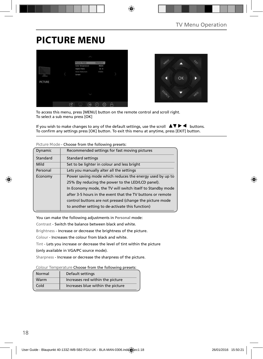## **PICTURE MENU**





To access this menu, press [MENU] button on the remote control and scroll right. To select a sub menu press [OK]

If you wish to make changes to any of the default settings, use the scroll  $\Box \blacktriangledown \blacktriangleright \blacktriangleleft$  buttons. To confirm any settings press [OK] button. To exit this menu at anytime, press [EXIT] button.

| Dynamic  | Recommended settings for fast moving pictures              |
|----------|------------------------------------------------------------|
| Standard | <b>Standard settings</b>                                   |
| Mild     | Set to be lighter in colour and less bright                |
| Personal | Lets you manually alter all the settings                   |
| Economy  | Power saving mode which reduces the energy used by up to   |
|          | 25% (by reducing the power to the LED/LCD panel).          |
|          | In Economy mode, the TV will switch itself to Standby mode |
|          | after 3-5 hours in the event that the TV buttons or remote |
|          | control buttons are not pressed (change the picture mode   |
|          | to another setting to de-activate this function)           |

**Picture Mode** - Choose from the following presets:

You can make the following adjustments in **Personal** mode:

Contrast - Switch the balance between black and white.

Brightness - Increase or decrease the brightness of the picture.

Colour - Increases the colour from black and white.

Tint - Lets you increase or decrease the level of tint within the picture

(only available in VGA/PC source mode).

Sharpness - Increase or decrease the sharpness of the picture.

**Colour Temperature** Choose from the following presets:

| Normal | Default settings                  |
|--------|-----------------------------------|
| Warm   | Increases red within the picture  |
| Cold   | Increases blue within the picture |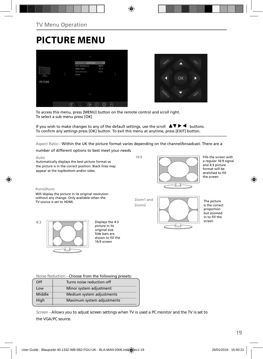# **PICTURE MENU**





To access this menu, press [MENU] button on the remote control and scroll right. To select a sub menu press [OK]

If you wish to make changes to any of the default settings, use the scroll  $\blacktriangle \blacktriangledown \blacktriangleright \blacktriangleleft$  buttons. To confirm any settings press [OK] button. To exit this menu at anytime, press [EXIT] button.

Aspect Ratio - Within the UK the picture format varies depending on the channel/broadcast. There are a

number of different options to best meet your needs

Auto Automatically displays the best picture format so the picture is in the correct position. Black lines may appear at the top/bottom and/or sides.

16:9



Fills the screen with a regular 16:9 signal and 4:3 picture format will be stretched to fill the screen

Point2Point

Will display the picture in its original resolution without any change. Only available when the TV source is set to HDMI.



picture in its .<br>original size. Side bars are shown to fill the 16:9 screen

Zoom1 and Zoom2



The picture is the correct proportion but zoomed in to fill the screen

**Noise Reduction** - Choose from the following presets:

| Off    | Turns noise reduction off  |
|--------|----------------------------|
| Low    | Minor system adjustment    |
| Middle | Medium system adjustments  |
| High   | Maximum system adjustments |
|        |                            |

**Screen - Allows you to adjust screen settings when TV is used a PC monitor and the TV is set to the VGA/PC source.**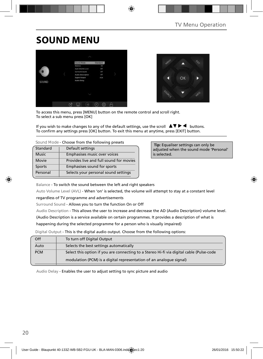## **SOUND MENU**





To access this menu, press [MENU] button on the remote control and scroll right. To select a sub menu press [OK]

If you wish to make changes to any of the default settings, use the scroll  $\blacktriangle \blacktriangledown \blacktriangleright \blacktriangleleft$  buttons. To confirm any settings press [OK] button. To exit this menu at anytime, press [EXIT] button.

**Sound Mode** - Choose from the following presets

| Standard     | Default settings                        |
|--------------|-----------------------------------------|
| <b>Music</b> | Emphasises music over voices            |
| Movie        | Provides live and full sound for movies |
| Sports       | Emphasises sound for sports             |
| Personal     | Selects your personal sound settings    |

 **Tip:** Equaliser settings can only be adjusted when the sound mode 'Personal' is selected.

Balance - To switch the sound between the left and right speakers

Auto Volume Level (AVL) - When 'on' is selected, the volume will attempt to stay at a constant level

regardless of TV programme and advertisements

Surround Sound - Allows you to turn the function On or Off

Audio Description - This allows the user to increase and decrease the AD (Audio Description) volume level.

(Audio Description is a service available on certain programmes. It provides a description of what is

happening during the selected programme for a person who is visually impaired)

Digital Output - This is the digital audio output. Choose from the following options:

| Off        | To turn off Digital Output                                                               |
|------------|------------------------------------------------------------------------------------------|
| Auto       | Selects the best settings automatically                                                  |
| <b>PCM</b> | Select this option if you are connecting to a Stereo Hi-fi via digital cable (Pulse-code |
|            | modulation (PCM) is a digital representation of an analogue signal)                      |

Audio Delay - Enables the user to adjust setting to sync picture and audio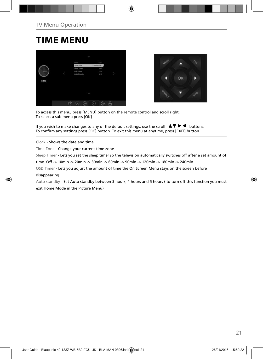## **TIME MENU**





To access this menu, press [MENU] button on the remote control and scroll right. To select a sub menu press [OK]

If you wish to make changes to any of the default settings, use the scroll  $\Box \blacktriangledown \blacktriangleright \blacktriangleleft$  buttons. To confirm any settings press [OK] button. To exit this menu at anytime, press [EXIT] button.

Clock - Shows the date and time

Time Zone - Change your current time zone

Sleep Timer - Lets you set the sleep timer so the television automatically switches off after a set amount of

time. Off -> 10min -> 20min -> 30min -> 60min -> 90min -> 120min -> 180min -> 240min

OSD Timer - Lets you adjust the amount of time the On Screen Menu stays on the screen before

#### disappearing

Auto standby - Set Auto standby between 3 hours, 4 hours and 5 hours ( to turn off this function you must exit Home Mode in the Picture Menu)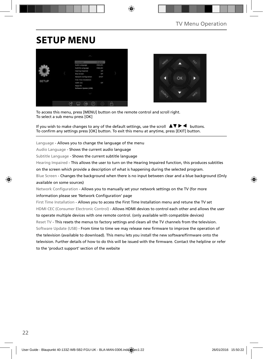## **SETUP MENU**





To access this menu, press [MENU] button on the remote control and scroll right. To select a sub menu press [OK]

If you wish to make changes to any of the default settings, use the scroll  $\Box \Box \blacktriangleright \blacktriangleleft$  buttons. To confirm any settings press [OK] button. To exit this menu at anytime, press [EXIT] button.

Language - Allows you to change the language of the menu

Audio Language - Shows the current audio language

Subtitle Language - Shows the current subtitle language

Hearing Impaired - This allows the user to turn on the Hearing Impaired function, this produces subtitles

on the screen which provide a description of what is happening during the selected program.

Blue Screen - Changes the background when there is no input between clear and a blue background (Only available on some sources)

Network Configuration - Allows you to manually set your network settings on the TV (for more information please see 'Network Configuration' page

First Time Installation - Allows you to access the First Time Installation menu and retune the TV set HDMI CEC (Consumer Electronic Control) - Allows HDMI devices to control each other and allows the user to operate multiple devices with one remote control. (only available with compatible devices) Reset TV - This resets the menus to factory settings and clears all the TV channels from the television. Software Update (USB) - From time to time we may release new firmware to improve the operation of the television (available to download). This menu lets you install the new software/firmware onto the television. Further details of how to do this will be issued with the firmware. Contact the helpline or refer to the 'product support' section of the website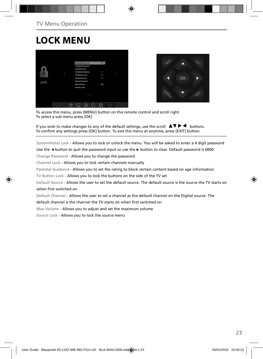## **LOCK MENU**





To access this menu, press [MENU] button on the remote control and scroll right. To select a sub menu press [OK]

If you wish to make changes to any of the default settings, use the scroll  $\Delta \nabla \blacktriangleright$   $\blacktriangleleft$  buttons. To confirm any settings press [OK] button. To exit this menu at anytime, press [EXIT] button.

System/Hotel Lock - Allows you to lock or unlock the menu. You will be asked to enter a 4 digit password

Use the **◄** button to quit the password input or use the **►** button to clear. Default password is 0000

Change Password - Allows you to change the password

Channel Lock - Allows you to lock certain channels manually

Parental Guidance - Allows you to set the rating to block certain content based on age information

TV Button Lock - Allows you to lock the buttons on the side of the TV set

Default Source - Allows the user to set the default source. The default source is the source the TV starts on when first switched on

Default Channel - Allows the user to set a channel as the default channel on the Digital source. The

default channel is the channel the TV starts on when first switched on

Max Volume - Allows you to adjust and set the maximum volume

Source Lock - Allows you to lock the source menu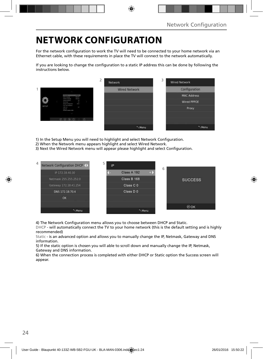## **NETWORK CONFIGURATION**

For the network configuration to work the TV will need to be connected to your home network via an Ethernet cable, with these requirements in place the TV will connect to the network automatically.

If you are looking to change the configuration to a static IP address this can be done by following the instructions below.

|       |                                                                                                                                               | ∠<br>Network         | 3<br><b>Wired Network</b> |
|-------|-----------------------------------------------------------------------------------------------------------------------------------------------|----------------------|---------------------------|
|       |                                                                                                                                               | <b>Wired Network</b> | Configuration             |
|       | <b>COLOR</b><br><b><i><u>Andre Component</u></i></b>                                                                                          |                      | <b>MAC Address</b>        |
|       | <b>SOLD</b><br><b>Extension Last governor</b><br>×<br><b>Heating Program</b><br><b>But formed</b><br>m.<br>man.<br><b>Several Listapolism</b> |                      | <b>Wired PPPOE</b>        |
| SETUP | ling Strainwaren<br>ł<br><b>STATE OF</b><br><b>Senat Die</b><br>Sollared Learn (218)                                                          |                      | Proxy                     |
|       |                                                                                                                                               |                      |                           |
|       |                                                                                                                                               |                      |                           |
|       |                                                                                                                                               | Menu                 | "Menu                     |

1) In the Setup Menu you will need to highlight and select Network Configuration.

- 2) When the Network menu appears highlight and select Wired Network.
- 3) Next the Wired Network menu will appear please highlight and select Configuration.



4) The Network Configuration menu allows you to choose between DHCP and Static.

DHCP - will automatically connect the TV to your home network (this is the default setting and is highly recommended)

Static - is an advanced option and allows you to manually change the IP, Netmask, Gateway and DNS information.

5) If the static option is chosen you will able to scroll down and manually change the IP, Netmask, Gateway and DNS information.

6) When the connection process is completed with either DHCP or Static option the Success screen will appear.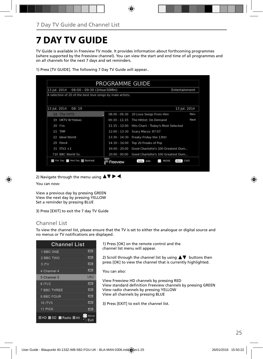## **7 DAY TV GUIDE**

TV Guide is available in Freeview TV mode. It provides information about forthcoming programmes (where supported by the Freeview channel). You can view the start and end time of all programmes and on all channels for the next 7 days and set reminders.

| 13 Iul. 2014<br>08:00 - 09:30 (1Hour30Min)                |                 |                                                           | Entertainment    |
|-----------------------------------------------------------|-----------------|-----------------------------------------------------------|------------------|
| A selection of 20 of the best love songs by male artists. |                 |                                                           |                  |
| 13 Jul. 2014<br>08:19                                     |                 |                                                           | 13 Jul. 2014     |
| 18 The HITS                                               | $08:00 - 09:30$ | 20 Love Songs From Him                                    | Now              |
| UKTV Britideas<br>19                                      | $09:30 - 11:15$ | The Hitlist: On Demand                                    | Next             |
| $20$ ftn                                                  | $11:15 - 12:00$ | Hits Chart - Today's Most Selected                        |                  |
| <b>TMF</b><br>21                                          | $12:00 - 13:30$ | Scary Marys: 87-07                                        |                  |
| Ideal World<br>22                                         | $13:30 - 14:30$ | Freaky Friday the 13th!                                   |                  |
| Film4<br>29                                               | $14:30 - 16:00$ | Top 20 Freaks of Pop                                      |                  |
| $31$ ITV2 +1                                              | $16:00 - 20:00$ | Good Charlotte's 100 Greatest Dum                         |                  |
| 710 BBC World Sv.                                         | $20:00 - 00:00$ | Good Charlotte's 100 Greatest Dum                         |                  |
| Pre. Day Next Day <b>1 Remind</b>                         | Freeview        | $\mathbf{a}^{\mathsf{T},\mathsf{p}}$<br>MOVE<br>Info Info | Exit <b>BXII</b> |

1) Press [TV GUIDE]. The following 7 Day TV Guide will appear..

2) Navigate through the menu using  $\blacktriangle \blacktriangledown \blacktriangleright \blacktriangleleft$ .

You can now:

View a previous day by pressing GREEN View the next day by pressing YELLOW Set a reminder by pressing BLUE

3) Press [EXIT] to exit the 7 day TV Guide

### Channel List

To view the channel list, please ensure that the TV is set to either the analogue or digital source and no menus or TV notifications are displayed.

| <b>Channel List</b>      |                                 |  |  |
|--------------------------|---------------------------------|--|--|
| 1 BBC ONE                | <b>LODGE</b>                    |  |  |
| 2 BBC TWO                | <b>LOTAL</b>                    |  |  |
| 3 ITV                    | <b>LETTA:</b>                   |  |  |
| 4 Channel 4              | $-107$ V                        |  |  |
| 5 Channel 5              | <b>Hanks</b>                    |  |  |
| 6 ITV2                   | <b>ISTAN</b>                    |  |  |
| <b>7 BBC THREE</b>       | <b>CENT</b>                     |  |  |
| 9 BBC FOUR               | œ                               |  |  |
| <b>10 ITV3</b>           | m                               |  |  |
| 11 PICK                  | m                               |  |  |
| <b>EHD SD Radio MAII</b> | $\cdot$ $\cdot$<br>Move<br>Exit |  |  |

1) Press [OK] on the remote control and the channel list menu will appear.

2) Scroll through the channel list by using  $\blacktriangle \blacktriangledown$  buttons then press [OK] to view the channel that is currently highlighted.

You can also:

View Freeview HD channels by pressing RED View standard definition Freeview channels by pressing GREEN View radio channels by pressing YELLOW View all channels by pressing BLUE

3) Press [EXIT] to exit the channel list.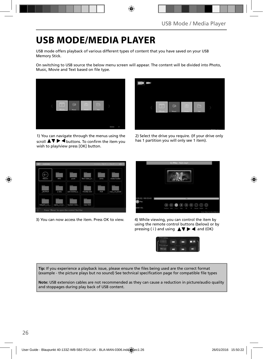## **USB MODE/MEDIA PLAYER**

USB mode offers playback of various different types of content that you have saved on your USB Memory Stick.

On switching to USB source the below menu screen will appear. The content will be divided into Photo, Music, Movie and Text based on file type.



1) You can navigate through the menus using the scroll  $\blacktriangle \blacktriangledown \blacktriangleright \blacktriangleleft$  buttons. To confirm the item you wish to play/view press [OK] button.



2) Select the drive you require. (If your drive only has 1 partition you will only see 1 item).



3) You can now access the item. Press OK to view. 4) While viewing, you can control the item by



using the remote control buttons (below) or by pressing ( i ) and using  $\triangle \blacktriangledown \blacktriangleright \blacktriangleleft$  and (OK)



Tip: If you experience a playback issue, please ensure the files being used are the correct format (example - the picture plays but no sound) See technical specification page for compatible file types

**Note:** USB extension cables are not recommended as they can cause a reduction in picture/audio quality and stoppages during play back of USB content.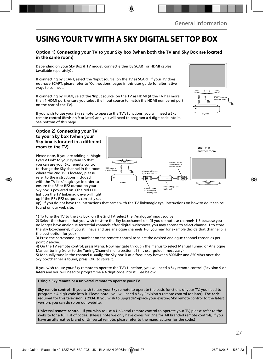## **USING YOUR TV WITH A SKY DIGITAL SET TOP BOX**

### **Option 1) Connecting your TV to your Sky box (when both the TV and Sky Box are located in the same room)**

Depending on your Sky Box & TV model, connect either by SCART or HDMI cables (available separately) .

If connecting by SCART, select the 'Input source' on the TV as SCART. If your TV does not have SCART, please refer to 'Connections' pages in this user guide for alternative ways to connect.

If connecting by HDMI, select the 'Input source' on the TV as HDMI (if the TV has more than 1 HDMI port, ensure you select the input source to match the HDMI numbered port on the rear of the TV).

If you wish to use your Sky remote to operate the TV's functions, you will need a Sky remote control (Revision 9 or later) and you will need to program a 4 digit code into it. See bottom of this page.

#### **Option 2) Connecting your TV to your Sky box (when your Sky box is located in a different room to the TV)**

Please note, if you are adding a 'Magic Eye/TV Link' to your system so that you can use your Sky remote control to change the Sky channel in the room where the 2nd TV is located, please refer to the instructions included with the TV link/magic eye in order to ensure the RF or RF2 output on your Sky box is powered on. (The red LED light on the TV link/magic eye will light up if the RF / RF2 output is correctly set



up) If you do not have the instructions that came with the TV link/magic eye, instructions on how to do it can be found on our web site.

1) To tune the TV to the Sky box, on the 2nd TV, select the 'Analogue' input source.

2) Select the channel that you wish to store the Sky box/channel on. (If you do not use channels 1-5 because you no longer have analogue terrestrial channels after digital switchover, you may choose to select channel 1 to store the Sky box/channel, if you still have and use analogue channels 1-5, you may for example decide that channel 6 is the best option for you)

3) Press the corresponding number on the remote control to select the desired analogue channel chosen as per point 2 above.

4) On the TV remote control, press Menu. Now navigate through the menus to select Manual Tuning or Analogue Manual tuning (refer to the Tuning/Channel menu section of this user guide if necessary)

5) Manually tune in the channel (usually, the Sky box is at a frequency between 800Mhz and 850Mhz) once the Sky box/channel is found, press 'OK' to store it.

If you wish to use your Sky remote to operate the TV's functions, you will need a Sky remote control (Revision 9 or later) and you will need to programme a 4 digit code into it. See below.

**Using a Sky remote or a universal remote to operate your TV** 

**Sky remote control** - If you wish to use your Sky remote to operate the basic functions of your TV, you need to program a 4 digit code into it. Please note - you will need a Sky Revision 9 remote control (or later). **The code required for this television is 2134.** If you wish to upgrade/replace your existing Sky remote control to the latest version, you can do so on our website.

**Universal remote control** - If you wish to use a Universal remote control to operate your TV, please refer to the website for a full list of codes. (Please note we only have codes for One for All branded remote controls, if you have an alternative brand of Universal remote, please refer to the manufacturer for the code.)

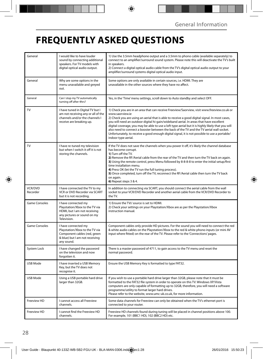## **FREQUENTLY ASKED QUESTIONS**

| General                    | I would like to have louder<br>sound by connecting additional<br>speakers. For TV models with<br>digital optical audio output.        | 1) Use the 3.5mm headphone output and a 3.5mm to phono cable (available separately) to<br>connect to an amplifier/surround sound system. Please note this will deactivate the TV's built<br>in speakers.<br>2) Connect a digital optical audio cable from the TV's digital optical audio output to your<br>amplifier/surround systems digital optical audio input.                                                                                                                                                                                                                                                                  |  |
|----------------------------|---------------------------------------------------------------------------------------------------------------------------------------|-------------------------------------------------------------------------------------------------------------------------------------------------------------------------------------------------------------------------------------------------------------------------------------------------------------------------------------------------------------------------------------------------------------------------------------------------------------------------------------------------------------------------------------------------------------------------------------------------------------------------------------|--|
| General                    | Why are some options in the<br>menu unavailable and greyed<br>out.                                                                    | Some options are only available in certain sources, i.e. HDMI. They are<br>unavailable in the other sources where they have no affect.                                                                                                                                                                                                                                                                                                                                                                                                                                                                                              |  |
| General                    | Can I stop my TV automatically<br>turning off after 4hrs?                                                                             | Yes, in the 'Time' menu settings, scroll down to Auto standby and select OFF.                                                                                                                                                                                                                                                                                                                                                                                                                                                                                                                                                       |  |
| TV                         | I have tuned in Digital TV but I<br>am not receiving any or all of the<br>channels and/or the channels I<br>receive are breaking up.  | 1) Check you are in an area that can receive Freeview/Saorview, visit www.freeview.co.uk or<br>www.saorview.ie<br>2) Check you are using an aerial that is able to receive a good digital signal. In most cases,<br>you will need an outdoor digital hi-gain/wideband aerial. In areas that have excellent<br>digital coverage, you may be able to use a loft type aerial but it is highly likely that you will<br>also need to connect a booster between the back of the TV and the TV aerial wall socket.<br>Unfortunately, to receive a good enough digital signal, it is not possible to use a portable/<br>indoor type aerial. |  |
| TV                         | I have re-tuned my television<br>but when I switch it off it is not<br>storing the channels.                                          | If the TV does not save the channels when you power it off, it's likely the channel database<br>has become corrupt.<br>1) Turn off the TV.<br>2) Remove the RF/Aerial cable from the rear of the TV and then turn the TV back on again.<br>3) Using the remote control, press Menu followed by 8-8-8-8 to enter the initial setup/first<br>time installation menu.<br>4) Press OK (let the TV run the full tuning process).<br>5) Once completed, turn off the TV, reconnect the RF/Aerial cable then turn the TV back<br>on again.<br>6) Repeat steps 3 & 4.                                                                       |  |
| <b>VCR/DVD</b><br>Recorder | I have connected the TV to my<br>VCR or DVD Recorder via SCART<br>but it is not recording.                                            | In addition to connecting via SCART, you should connect the aerial cable from the wall<br>socket to your VCR/DVD Recorder and another aerial cable from the VCR/DVD Recorder to<br>the TV.                                                                                                                                                                                                                                                                                                                                                                                                                                          |  |
| Game Consoles              | I have connected my<br>Playstation/Xbox to the TV via<br>HDMI, but I am not receiving<br>any pictures or sound on my<br>Television.   | 1) Ensure the TVs' source is set to HDMI.<br>2) Check your settings on your Playstation/Xbox are as per the Playstation/Xbox<br>instruction manual.                                                                                                                                                                                                                                                                                                                                                                                                                                                                                 |  |
| Game Consoles              | I have connected my<br>Playstation/Xbox to the TV via<br>Component cables (red, green<br>& blue) but I am not receiving<br>any sound. | Component cables only provide HD pictures. For the sound you will need to connect the red<br>& white audio cables on the Playstation/Xbox to the red & white phono inputs (or mini AV<br>input where fitted) on the rear of the TV. Please refer to the 'Connections' pages.                                                                                                                                                                                                                                                                                                                                                        |  |
| System Lock                | I have changed the password<br>on the television and now<br>forgotten it.                                                             | There is a master password of 4711, to gain access to the TV menu and reset the<br>normal password.                                                                                                                                                                                                                                                                                                                                                                                                                                                                                                                                 |  |
| USB Mode                   | I have inserted a USB Memory<br>Key, but the TV does not<br>recognise it.                                                             | Ensure the USB Memory Key is formatted to type FAT32.                                                                                                                                                                                                                                                                                                                                                                                                                                                                                                                                                                               |  |
| USB Mode                   | Using a USB portable hard drive<br>larger than 32GB.                                                                                  | If you wish to use a portable hard drive larger than 32GB, please note that it must be<br>formatted to the FAT32 file system in order to operate on this TV. Windows XP/Vista<br>computers are only capable of formatting up to 32GB, therefore, you will need a software<br>programme/utility to format larger hard drives.<br>Please refer to the website, www.umc-uk.co.uk, for more information.                                                                                                                                                                                                                                |  |
| Freeview HD                | I cannot access all Freeview<br>channels.                                                                                             | Some data channels for Freeview can only be obtained when the TV's ethernet port is<br>connected to your router.                                                                                                                                                                                                                                                                                                                                                                                                                                                                                                                    |  |
| Freeview HD                | I cannot find the Freeview HD<br>channels.                                                                                            | Freeview HD channels found during tuning will be placed in channel positions above 100.<br>For example, 101 (BBC1 HD), 102 (BBC2 HD) etc.                                                                                                                                                                                                                                                                                                                                                                                                                                                                                           |  |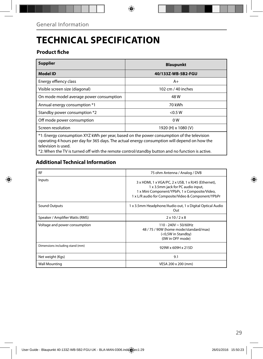## **TECHNICAL SPECIFICATION**

### **Product fiche**

| <b>Supplier</b>                                                                                                                                                                                                  | <b>Blaupunkt</b>    |  |
|------------------------------------------------------------------------------------------------------------------------------------------------------------------------------------------------------------------|---------------------|--|
| <b>Model ID</b>                                                                                                                                                                                                  | 40/133Z-WB-5B2-FGU  |  |
| Energy effiency class                                                                                                                                                                                            | $A+$                |  |
| Visible screen size (diagonal)                                                                                                                                                                                   | 102 cm / 40 inches  |  |
| On mode model average power consumption                                                                                                                                                                          | 48 W                |  |
| Annual energy consumption *1                                                                                                                                                                                     | 70 kWh              |  |
| Standby power consumption *2                                                                                                                                                                                     | < 0.5 W             |  |
| Off mode power consumption                                                                                                                                                                                       | 0 W                 |  |
| Screen resolution                                                                                                                                                                                                | 1920 (H) x 1080 (V) |  |
| *1: Energy consumption XYZ kWh per year, based on the power consumption of the television<br>operating 4 hours per day for 365 days. The actual energy consumption will depend on how the<br>television is used. |                     |  |

\*2: When the TV is turned off with the remote control/standby button and no function is active.

### **Additional Technical Information**

| <b>RF</b>                       | 75 ohm Antenna / Analog / DVB                                                                                                                                                                      |  |
|---------------------------------|----------------------------------------------------------------------------------------------------------------------------------------------------------------------------------------------------|--|
| Inputs                          | 3 x HDMI, 1 x VGA/PC, 2 x USB, 1 x RJ45 (Ethernet),<br>1 x 3.5mm jack for PC audio input,<br>1 x Mini Component/YPbPr, 1 x Composite/Video,<br>1 x L/R audio for Composite/Video & Component/YPbPr |  |
| Sound Outputs                   | 1 x 3.5mm Headphone/Audio out, 1 x Digital Optical Audio<br>Out                                                                                                                                    |  |
| Speaker / Amplifier Watts (RMS) | $2 \times 10 / 2 \times 8$                                                                                                                                                                         |  |
| Voltage and power consumption   | $110 - 240V \sim 50/60Hz$<br>48 / 75 / 90W (home mode/standard/max)<br>(<0,5W in Standby)<br>(0W in OFF mode)                                                                                      |  |
| Dimensions including stand (mm) | 929W x 609H x 215D                                                                                                                                                                                 |  |
| Net weight (Kgs)                | 9.1                                                                                                                                                                                                |  |
| <b>Wall Mounting</b>            | VESA 200 x 200 (mm)                                                                                                                                                                                |  |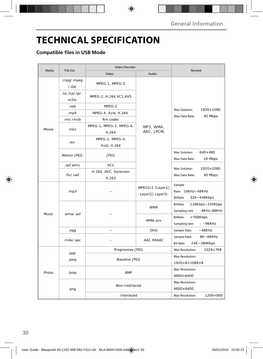## **TECHNICAL SPECIFICATION**

### **Compatible files in USB Mode**

| Media                                   |                        | Video Decoder                    |                                   |                                                              |  |
|-----------------------------------------|------------------------|----------------------------------|-----------------------------------|--------------------------------------------------------------|--|
|                                         | File Ext.              | Video                            | Audio                             | Remark                                                       |  |
| Movie                                   | .mpg/.mpeg<br>/.dat    | MPEG-1, MPEG-2                   | MP3, WMA,<br>AAC, LPCM,           |                                                              |  |
|                                         | .ts/.trp/.tp/.<br>m2ts | MPEG-2, H.264, VC1, AVS          |                                   | Max Solution:<br>1920×1080<br>Max Data Rate:<br>40 Mbps      |  |
|                                         | .vob                   | MPEG-2                           |                                   |                                                              |  |
|                                         | .mp4                   | MPEG-4, Xvid, H.264              |                                   |                                                              |  |
|                                         | .rm/.rmvb              | Rm codec                         |                                   |                                                              |  |
|                                         | .mkv                   | MPEG-1, MPEG-2, MPEG-4,<br>H.264 |                                   |                                                              |  |
|                                         | .avi                   | MPEG-2, MPEG-4,<br>Xvid, H.264   |                                   |                                                              |  |
|                                         | Motion JPEG            | <b>JPEG</b>                      |                                   | Max Solution:<br>$640\times480$<br>Max Data Rate:<br>10 Mbps |  |
|                                         | .asf, wmv              | VC <sub>1</sub>                  |                                   |                                                              |  |
|                                         | .flv/.swf              | H.264, AVC, Sorenson<br>H.263    |                                   | Max Solution:<br>1920×1080<br>Max Data Rate:<br>40 Mbps      |  |
| Music                                   | mp3.                   |                                  | MPEG1/2 (Layer1<br>Layer2 Layer3) | Sample<br>Rate: 16KHz~48KHz<br>BitRate:<br>32K~448Kbps       |  |
|                                         | .wma/.asf              |                                  | <b>WMA</b>                        | BitRate:<br>128Kbps~320Kbps<br>Sampling rate<br>:8KHz-48KHz  |  |
|                                         |                        |                                  | WMA pro                           | BitRate:<br><768Kbps<br>Sampling rate<br>$: -96KHz$          |  |
|                                         | .ogg                   | $\overline{a}$                   | OGG                               | Sample Rate:<br>$-48KHz$                                     |  |
|                                         | .m4a/.aac              | - -                              | AAC HEAAC                         | 8K~48KHz<br>Sample Rate:<br><b>Bit Rate:</b><br>24K~384Kbps  |  |
| .jpg/<br>.jpeg<br>Photo<br>.bmp<br>.png |                        | Progressive JPEG                 |                                   | Max Resolution:<br>1024×768                                  |  |
|                                         |                        | Baseline JPEG                    |                                   | Max Resolution:<br>$1920\times8\times1088\times8$            |  |
|                                         |                        | <b>BMP</b>                       |                                   | Max Resolution:<br>$9600 \times 6400$                        |  |
|                                         |                        | Non-Interlaced                   |                                   | Max Resolution:<br>9600×6400                                 |  |
|                                         |                        | Interlaced                       |                                   | 1200×800<br>Max Resolution:                                  |  |